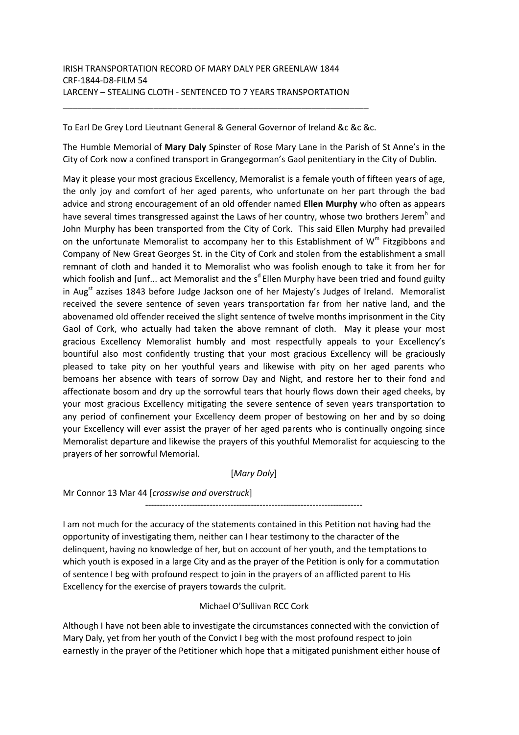To Earl De Grey Lord Lieutnant General & General Governor of Ireland &c &c &c.

\_\_\_\_\_\_\_\_\_\_\_\_\_\_\_\_\_\_\_\_\_\_\_\_\_\_\_\_\_\_\_\_\_\_\_\_\_\_\_\_\_\_\_\_\_\_\_\_\_\_\_\_\_\_\_\_\_\_\_\_\_\_\_\_

The Humble Memorial of **Mary Daly** Spinster of Rose Mary Lane in the Parish of St Anne's in the City of Cork now a confined transport in Grangegorman's Gaol penitentiary in the City of Dublin.

May it please your most gracious Excellency, Memoralist is a female youth of fifteen years of age, the only joy and comfort of her aged parents, who unfortunate on her part through the bad advice and strong encouragement of an old offender named **Ellen Murphy** who often as appears have several times transgressed against the Laws of her country, whose two brothers Jerem<sup>h</sup> and John Murphy has been transported from the City of Cork. This said Ellen Murphy had prevailed on the unfortunate Memoralist to accompany her to this Establishment of  $W^m$  Fitzgibbons and Company of New Great Georges St. in the City of Cork and stolen from the establishment a small remnant of cloth and handed it to Memoralist who was foolish enough to take it from her for which foolish and [unf... act Memoralist and the  $s<sup>d</sup>$  Ellen Murphy have been tried and found guilty in Aug<sup>st</sup> azzises 1843 before Judge Jackson one of her Majesty's Judges of Ireland. Memoralist received the severe sentence of seven years transportation far from her native land, and the abovenamed old offender received the slight sentence of twelve months imprisonment in the City Gaol of Cork, who actually had taken the above remnant of cloth. May it please your most gracious Excellency Memoralist humbly and most respectfully appeals to your Excellency's bountiful also most confidently trusting that your most gracious Excellency will be graciously pleased to take pity on her youthful years and likewise with pity on her aged parents who bemoans her absence with tears of sorrow Day and Night, and restore her to their fond and affectionate bosom and dry up the sorrowful tears that hourly flows down their aged cheeks, by your most gracious Excellency mitigating the severe sentence of seven years transportation to any period of confinement your Excellency deem proper of bestowing on her and by so doing your Excellency will ever assist the prayer of her aged parents who is continually ongoing since Memoralist departure and likewise the prayers of this youthful Memoralist for acquiescing to the prayers of her sorrowful Memorial.

## [*Mary Daly*]

Mr Connor 13 Mar 44 [*crosswise and overstruck*]

--------------------------------------------------------------------------

I am not much for the accuracy of the statements contained in this Petition not having had the opportunity of investigating them, neither can I hear testimony to the character of the delinquent, having no knowledge of her, but on account of her youth, and the temptations to which youth is exposed in a large City and as the prayer of the Petition is only for a commutation of sentence I beg with profound respect to join in the prayers of an afflicted parent to His Excellency for the exercise of prayers towards the culprit.

## Michael O'Sullivan RCC Cork

Although I have not been able to investigate the circumstances connected with the conviction of Mary Daly, yet from her youth of the Convict I beg with the most profound respect to join earnestly in the prayer of the Petitioner which hope that a mitigated punishment either house of